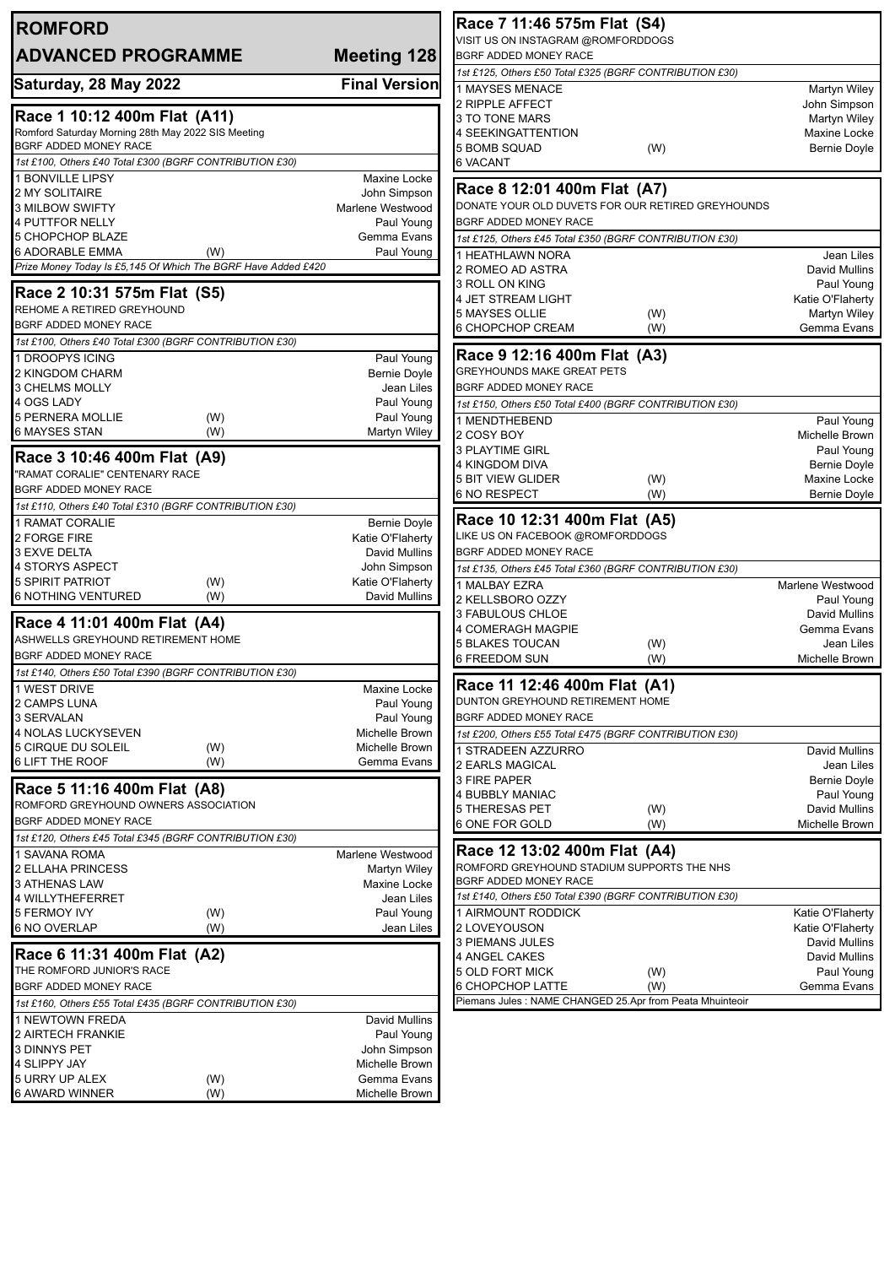| <b>ROMFORD</b>                                                              |                                         | Race 7 11:46 575m Flat (S4)                                         |                                     |
|-----------------------------------------------------------------------------|-----------------------------------------|---------------------------------------------------------------------|-------------------------------------|
| <b>ADVANCED PROGRAMME</b>                                                   |                                         | VISIT US ON INSTAGRAM @ROMFORDDOGS<br><b>BGRF ADDED MONEY RACE</b>  |                                     |
|                                                                             | Meeting 128                             | 1st £125, Others £50 Total £325 (BGRF CONTRIBUTION £30)             |                                     |
| Saturday, 28 May 2022                                                       | <b>Final Version</b>                    | 1 MAYSES MENACE                                                     | <b>Martyn Wiley</b>                 |
|                                                                             |                                         | 2 RIPPLE AFFECT                                                     | John Simpson                        |
| Race 1 10:12 400m Flat (A11)                                                |                                         | 3 TO TONE MARS                                                      | Martyn Wiley                        |
| Romford Saturday Morning 28th May 2022 SIS Meeting<br>BGRF ADDED MONEY RACE |                                         | <b>4 SEEKINGATTENTION</b>                                           | Maxine Locke                        |
| 1st £100, Others £40 Total £300 (BGRF CONTRIBUTION £30)                     |                                         | <b>5 BOMB SQUAD</b><br>(W)<br><b>6 VACANT</b>                       | <b>Bernie Doyle</b>                 |
| 1 BONVILLE LIPSY                                                            | <b>Maxine Locke</b>                     |                                                                     |                                     |
| 2 MY SOLITAIRE                                                              | John Simpson                            | Race 8 12:01 400m Flat (A7)                                         |                                     |
| <b>3 MILBOW SWIFTY</b>                                                      | Marlene Westwood                        | DONATE YOUR OLD DUVETS FOR OUR RETIRED GREYHOUNDS                   |                                     |
| 4 PUTTFOR NELLY                                                             | Paul Young                              | <b>BGRF ADDED MONEY RACE</b>                                        |                                     |
| 5 CHOPCHOP BLAZE<br><b>6 ADORABLE EMMA</b><br>(W)                           | Gemma Evans<br>Paul Young               | 1st £125, Others £45 Total £350 (BGRF CONTRIBUTION £30)             |                                     |
| Prize Money Today Is £5,145 Of Which The BGRF Have Added £420               |                                         | 1 HEATHLAWN NORA<br>2 ROMEO AD ASTRA                                | Jean Liles<br>David Mullins         |
|                                                                             |                                         | 3 ROLL ON KING                                                      | Paul Young                          |
| Race 2 10:31 575m Flat (S5)                                                 |                                         | 4 JET STREAM LIGHT                                                  | Katie O'Flaherty                    |
| REHOME A RETIRED GREYHOUND<br><b>BGRF ADDED MONEY RACE</b>                  |                                         | 5 MAYSES OLLIE<br>(W)                                               | Martyn Wiley                        |
| 1st £100, Others £40 Total £300 (BGRF CONTRIBUTION £30)                     |                                         | 6 CHOPCHOP CREAM<br>(W)                                             | Gemma Evans                         |
| 1 DROOPYS ICING                                                             | Paul Young                              | Race 9 12:16 400m Flat (A3)                                         |                                     |
| 2 KINGDOM CHARM                                                             | <b>Bernie Doyle</b>                     | <b>GREYHOUNDS MAKE GREAT PETS</b>                                   |                                     |
| 3 CHELMS MOLLY                                                              | Jean Liles                              | <b>BGRF ADDED MONEY RACE</b>                                        |                                     |
| 4 OGS LADY                                                                  | Paul Young                              | 1st £150, Others £50 Total £400 (BGRF CONTRIBUTION £30)             |                                     |
| 5 PERNERA MOLLIE<br>(W)                                                     | Paul Young                              | 1 MENDTHEBEND                                                       | Paul Young                          |
| 6 MAYSES STAN<br>(W)                                                        | Martyn Wiley                            | 2 COSY BOY                                                          | Michelle Brown                      |
| Race 3 10:46 400m Flat (A9)                                                 |                                         | <b>3 PLAYTIME GIRL</b><br>4 KINGDOM DIVA                            | Paul Young<br>Bernie Doyle          |
| "RAMAT CORALIE" CENTENARY RACE                                              |                                         | <b>5 BIT VIEW GLIDER</b><br>(W)                                     | Maxine Locke                        |
| BGRF ADDED MONEY RACE                                                       |                                         | <b>6 NO RESPECT</b><br>(W)                                          | <b>Bernie Doyle</b>                 |
| 1st £110, Others £40 Total £310 (BGRF CONTRIBUTION £30)                     |                                         | Race 10 12:31 400m Flat (A5)                                        |                                     |
| 1 RAMAT CORALIE<br>2 FORGE FIRE                                             | <b>Bernie Doyle</b><br>Katie O'Flaherty | LIKE US ON FACEBOOK @ROMFORDDOGS                                    |                                     |
| 3 EXVE DELTA                                                                | David Mullins                           | BGRF ADDED MONEY RACE                                               |                                     |
| 4 STORYS ASPECT                                                             | John Simpson                            | 1st £135, Others £45 Total £360 (BGRF CONTRIBUTION £30)             |                                     |
| 5 SPIRIT PATRIOT<br>(W)                                                     | Katie O'Flaherty                        | 1 MALBAY EZRA                                                       | Marlene Westwood                    |
| <b>6 NOTHING VENTURED</b><br>(W)                                            | David Mullins                           | 2 KELLSBORO OZZY                                                    | Paul Young                          |
| Race 4 11:01 400m Flat (A4)                                                 |                                         | 3 FABULOUS CHLOE<br>4 COMERAGH MAGPIE                               | <b>David Mullins</b><br>Gemma Evans |
| ASHWELLS GREYHOUND RETIREMENT HOME                                          |                                         | <b>5 BLAKES TOUCAN</b><br>(W)                                       | Jean Liles                          |
| BGRF ADDED MONEY RACE                                                       |                                         | 6 FREEDOM SUN<br>(W)                                                | Michelle Brown                      |
| 1st £140, Others £50 Total £390 (BGRF CONTRIBUTION £30)                     |                                         |                                                                     |                                     |
| 1 WEST DRIVE                                                                | Maxine Locke                            | Race 11 12:46 400m Flat (A1)<br>DUNTON GREYHOUND RETIREMENT HOME    |                                     |
| 2 CAMPS LUNA<br>3 SERVALAN                                                  | Paul Young<br>Paul Young                | BGRF ADDED MONEY RACE                                               |                                     |
| 4 NOLAS LUCKYSEVEN                                                          | Michelle Brown                          | 1st £200, Others £55 Total £475 (BGRF CONTRIBUTION £30)             |                                     |
| 5 CIRQUE DU SOLEIL<br>(W)                                                   | Michelle Brown                          | 1 STRADEEN AZZURRO                                                  | David Mullins                       |
| 6 LIFT THE ROOF<br>(W)                                                      | Gemma Evans                             | 2 EARLS MAGICAL                                                     | Jean Liles                          |
| Race 5 11:16 400m Flat (A8)                                                 |                                         | 3 FIRE PAPER                                                        | <b>Bernie Doyle</b>                 |
| ROMFORD GREYHOUND OWNERS ASSOCIATION                                        |                                         | 4 BUBBLY MANIAC<br>5 THERESAS PET<br>(W)                            | Paul Young<br>David Mullins         |
| BGRF ADDED MONEY RACE                                                       |                                         | 6 ONE FOR GOLD<br>(W)                                               | Michelle Brown                      |
| 1st £120, Others £45 Total £345 (BGRF CONTRIBUTION £30)                     |                                         |                                                                     |                                     |
| 1 SAVANA ROMA                                                               | Marlene Westwood                        | Race 12 13:02 400m Flat (A4)                                        |                                     |
| 2 ELLAHA PRINCESS<br>3 ATHENAS LAW                                          | Martyn Wiley<br>Maxine Locke            | ROMFORD GREYHOUND STADIUM SUPPORTS THE NHS<br>BGRF ADDED MONEY RACE |                                     |
| 4 WILLYTHEFERRET                                                            | Jean Liles                              | 1st £140, Others £50 Total £390 (BGRF CONTRIBUTION £30)             |                                     |
| 5 FERMOY IVY<br>(W)                                                         | Paul Young                              | 1 AIRMOUNT RODDICK                                                  | Katie O'Flaherty                    |
| 6 NO OVERLAP<br>(W)                                                         | Jean Liles                              | 2 LOVEYOUSON                                                        | Katie O'Flaherty                    |
| Race 6 11:31 400m Flat (A2)                                                 |                                         | 3 PIEMANS JULES                                                     | David Mullins                       |
| THE ROMFORD JUNIOR'S RACE                                                   |                                         | 4 ANGEL CAKES<br>5 OLD FORT MICK<br>(W)                             | David Mullins<br>Paul Young         |
| BGRF ADDED MONEY RACE                                                       |                                         | 6 CHOPCHOP LATTE<br>(W)                                             | Gemma Evans                         |
| 1st £160, Others £55 Total £435 (BGRF CONTRIBUTION £30)                     |                                         | Piemans Jules: NAME CHANGED 25.Apr from Peata Mhuinteoir            |                                     |
| 1 NEWTOWN FREDA                                                             | David Mullins                           |                                                                     |                                     |
| 2 AIRTECH FRANKIE                                                           | Paul Young                              |                                                                     |                                     |
| 3 DINNYS PET                                                                | John Simpson                            |                                                                     |                                     |
| 4 SLIPPY JAY<br>5 URRY UP ALEX<br>(W)                                       | Michelle Brown<br>Gemma Evans           |                                                                     |                                     |
| <b>6 AWARD WINNER</b><br>(W)                                                | Michelle Brown                          |                                                                     |                                     |
|                                                                             |                                         |                                                                     |                                     |